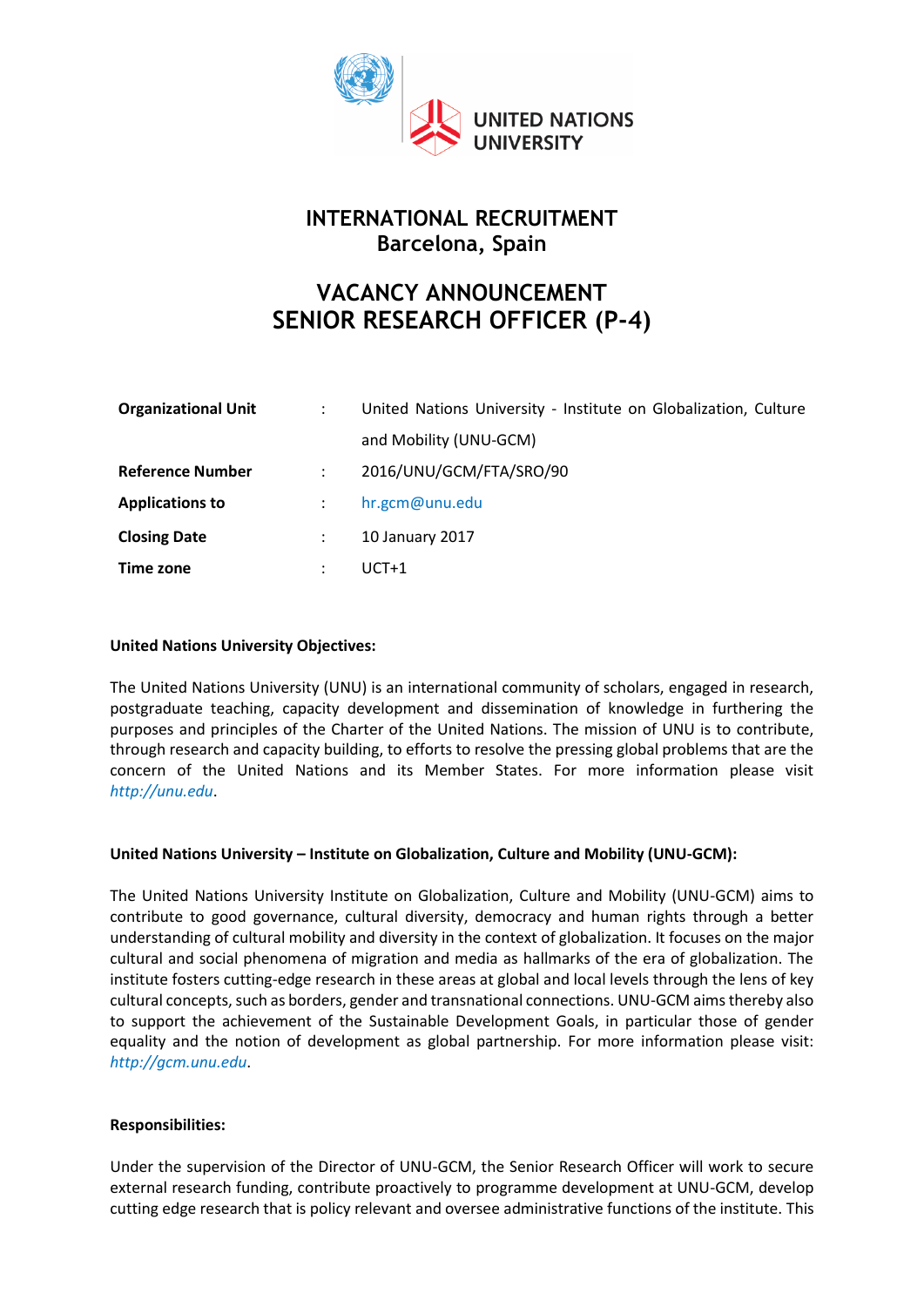

# **INTERNATIONAL RECRUITMENT Barcelona, Spain**

# **VACANCY ANNOUNCEMENT SENIOR RESEARCH OFFICER (P-4)**

| <b>Organizational Unit</b> | $\ddot{\cdot}$ | United Nations University - Institute on Globalization, Culture |
|----------------------------|----------------|-----------------------------------------------------------------|
|                            |                | and Mobility (UNU-GCM)                                          |
| <b>Reference Number</b>    | ÷              | 2016/UNU/GCM/FTA/SRO/90                                         |
| <b>Applications to</b>     |                | hr.gcm@unu.edu                                                  |
| <b>Closing Date</b>        |                | 10 January 2017                                                 |
| Time zone                  | ÷              | $UCT+1$                                                         |

#### **United Nations University Objectives:**

The United Nations University (UNU) is an international community of scholars, engaged in research, postgraduate teaching, capacity development and dissemination of knowledge in furthering the purposes and principles of the Charter of the United Nations. The mission of UNU is to contribute, through research and capacity building, to efforts to resolve the pressing global problems that are the concern of the United Nations and its Member States. For more information please visit *[http://unu.edu](http://unu.edu/)*.

#### **United Nations University – Institute on Globalization, Culture and Mobility (UNU-GCM):**

The United Nations University Institute on Globalization, Culture and Mobility (UNU-GCM) aims to contribute to good governance, cultural diversity, democracy and human rights through a better understanding of cultural mobility and diversity in the context of globalization. It focuses on the major cultural and social phenomena of migration and media as hallmarks of the era of globalization. The institute fosters cutting-edge research in these areas at global and local levels through the lens of key cultural concepts, such as borders, gender and transnational connections. UNU-GCM aims thereby also to support the achievement of the Sustainable Development Goals, in particular those of gender equality and the notion of development as global partnership. For more information please visit: *[http://gcm.unu.edu](http://gcm.unu.edu/)*.

#### **Responsibilities:**

Under the supervision of the Director of UNU-GCM, the Senior Research Officer will work to secure external research funding, contribute proactively to programme development at UNU-GCM, develop cutting edge research that is policy relevant and oversee administrative functions of the institute. This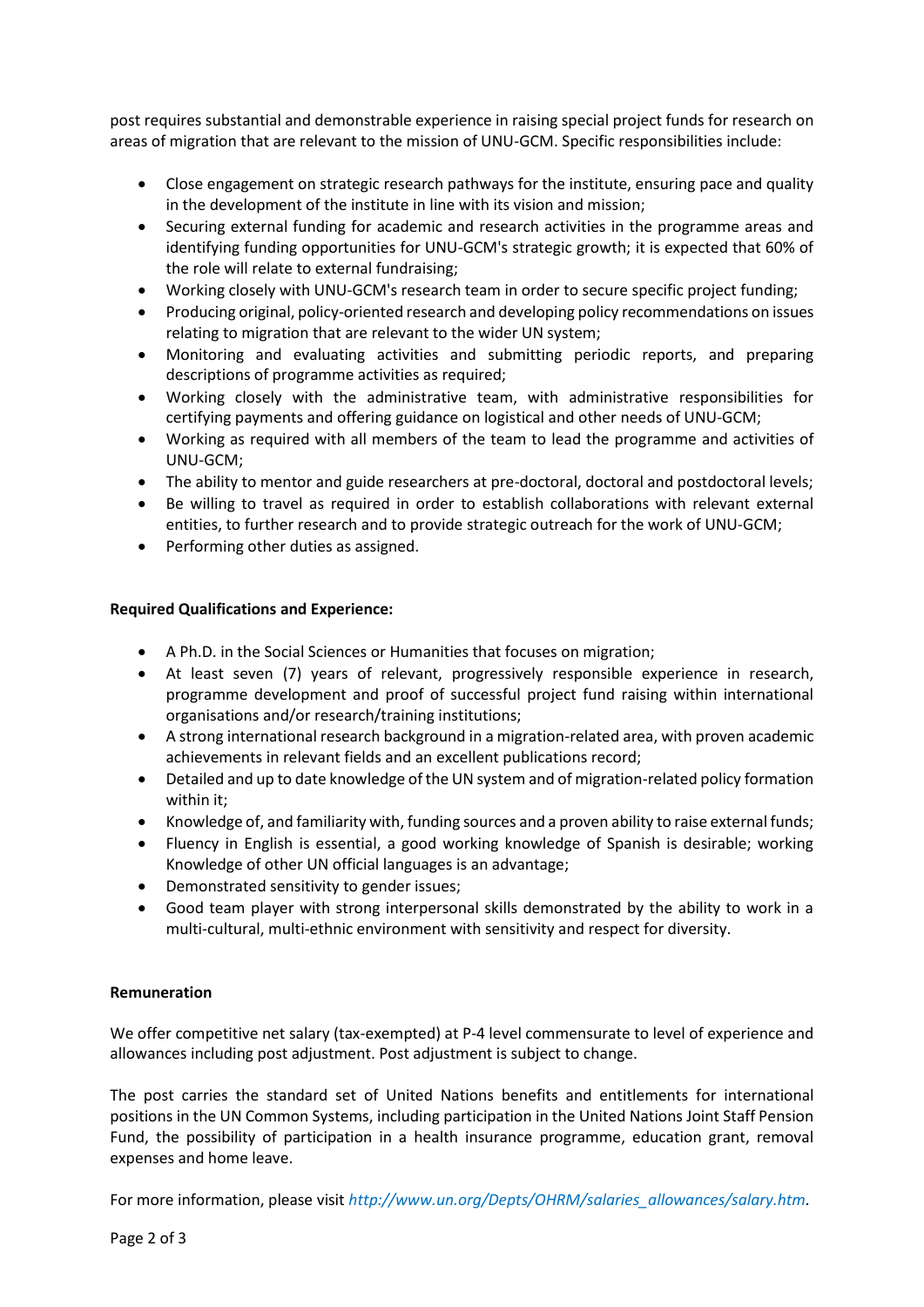post requires substantial and demonstrable experience in raising special project funds for research on areas of migration that are relevant to the mission of UNU-GCM. Specific responsibilities include:

- Close engagement on strategic research pathways for the institute, ensuring pace and quality in the development of the institute in line with its vision and mission;
- Securing external funding for academic and research activities in the programme areas and identifying funding opportunities for UNU-GCM's strategic growth; it is expected that 60% of the role will relate to external fundraising;
- Working closely with UNU-GCM's research team in order to secure specific project funding;
- Producing original, policy-oriented research and developing policy recommendations on issues relating to migration that are relevant to the wider UN system;
- Monitoring and evaluating activities and submitting periodic reports, and preparing descriptions of programme activities as required;
- Working closely with the administrative team, with administrative responsibilities for certifying payments and offering guidance on logistical and other needs of UNU-GCM;
- Working as required with all members of the team to lead the programme and activities of UNU-GCM;
- The ability to mentor and guide researchers at pre-doctoral, doctoral and postdoctoral levels;
- Be willing to travel as required in order to establish collaborations with relevant external entities, to further research and to provide strategic outreach for the work of UNU-GCM;
- Performing other duties as assigned.

## **Required Qualifications and Experience:**

- A Ph.D. in the Social Sciences or Humanities that focuses on migration;
- At least seven (7) years of relevant, progressively responsible experience in research, programme development and proof of successful project fund raising within international organisations and/or research/training institutions;
- A strong international research background in a migration-related area, with proven academic achievements in relevant fields and an excellent publications record;
- Detailed and up to date knowledge of the UN system and of migration-related policy formation within it;
- Knowledge of, and familiarity with, funding sources and a proven ability to raise external funds;
- Fluency in English is essential, a good working knowledge of Spanish is desirable; working Knowledge of other UN official languages is an advantage;
- Demonstrated sensitivity to gender issues;
- Good team player with strong interpersonal skills demonstrated by the ability to work in a multi-cultural, multi-ethnic environment with sensitivity and respect for diversity.

#### **Remuneration**

We offer competitive net salary (tax-exempted) at P-4 level commensurate to level of experience and allowances including post adjustment. Post adjustment is subject to change.

The post carries the standard set of United Nations benefits and entitlements for international positions in the UN Common Systems, including participation in the United Nations Joint Staff Pension Fund, the possibility of participation in a health insurance programme, education grant, removal expenses and home leave.

For more information, please visit *[http://www.un.org/Depts/OHRM/salaries\\_allowances/salary.htm.](http://www.un.org/Depts/OHRM/salaries_allowances/salary.htm)*